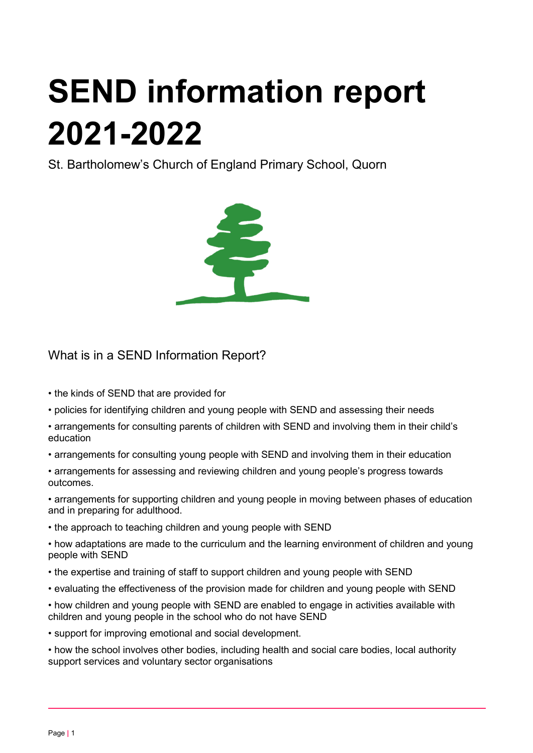# SEND information report 2021-2022

St. Bartholomew's Church of England Primary School, Quorn



## What is in a SEND Information Report?

- the kinds of SEND that are provided for
- policies for identifying children and young people with SEND and assessing their needs
- arrangements for consulting parents of children with SEND and involving them in their child's education
- arrangements for consulting young people with SEND and involving them in their education
- arrangements for assessing and reviewing children and young people's progress towards outcomes.

• arrangements for supporting children and young people in moving between phases of education and in preparing for adulthood.

- the approach to teaching children and young people with SEND
- how adaptations are made to the curriculum and the learning environment of children and young people with SEND
- the expertise and training of staff to support children and young people with SEND
- evaluating the effectiveness of the provision made for children and young people with SEND
- how children and young people with SEND are enabled to engage in activities available with children and young people in the school who do not have SEND
- support for improving emotional and social development.

• how the school involves other bodies, including health and social care bodies, local authority support services and voluntary sector organisations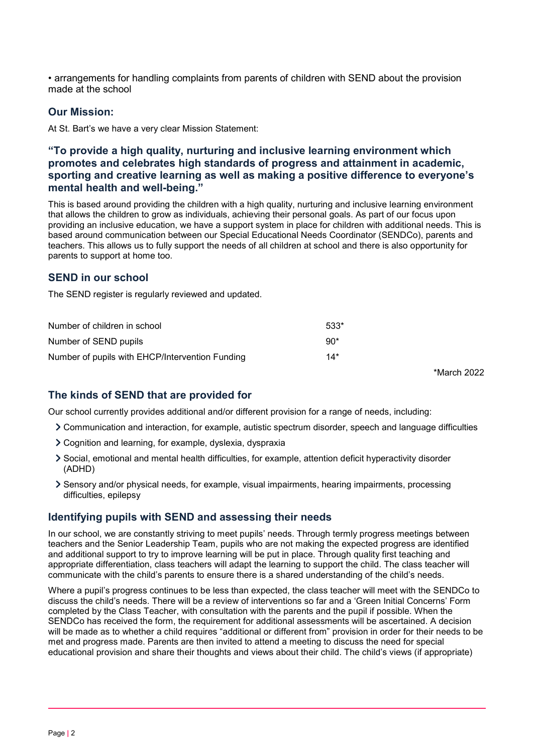• arrangements for handling complaints from parents of children with SEND about the provision made at the school

## Our Mission:

At St. Bart's we have a very clear Mission Statement:

## "To provide a high quality, nurturing and inclusive learning environment which promotes and celebrates high standards of progress and attainment in academic, sporting and creative learning as well as making a positive difference to everyone's mental health and well-being."

This is based around providing the children with a high quality, nurturing and inclusive learning environment that allows the children to grow as individuals, achieving their personal goals. As part of our focus upon providing an inclusive education, we have a support system in place for children with additional needs. This is based around communication between our Special Educational Needs Coordinator (SENDCo), parents and teachers. This allows us to fully support the needs of all children at school and there is also opportunity for parents to support at home too.

## SEND in our school

The SEND register is regularly reviewed and updated.

| Number of children in school                    | $533*$ |
|-------------------------------------------------|--------|
| Number of SEND pupils                           | $90*$  |
| Number of pupils with EHCP/Intervention Funding | $14*$  |

\*March 2022

## The kinds of SEND that are provided for

Our school currently provides additional and/or different provision for a range of needs, including:

- Communication and interaction, for example, autistic spectrum disorder, speech and language difficulties
- Cognition and learning, for example, dyslexia, dyspraxia
- Social, emotional and mental health difficulties, for example, attention deficit hyperactivity disorder (ADHD)
- Sensory and/or physical needs, for example, visual impairments, hearing impairments, processing difficulties, epilepsy

#### Identifying pupils with SEND and assessing their needs

In our school, we are constantly striving to meet pupils' needs. Through termly progress meetings between teachers and the Senior Leadership Team, pupils who are not making the expected progress are identified and additional support to try to improve learning will be put in place. Through quality first teaching and appropriate differentiation, class teachers will adapt the learning to support the child. The class teacher will communicate with the child's parents to ensure there is a shared understanding of the child's needs.

Where a pupil's progress continues to be less than expected, the class teacher will meet with the SENDCo to discuss the child's needs. There will be a review of interventions so far and a 'Green Initial Concerns' Form completed by the Class Teacher, with consultation with the parents and the pupil if possible. When the SENDCo has received the form, the requirement for additional assessments will be ascertained. A decision will be made as to whether a child requires "additional or different from" provision in order for their needs to be met and progress made. Parents are then invited to attend a meeting to discuss the need for special educational provision and share their thoughts and views about their child. The child's views (if appropriate)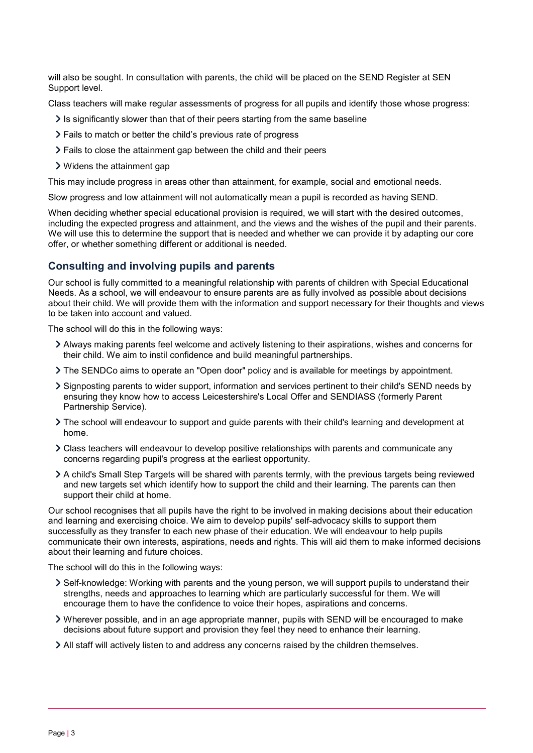will also be sought. In consultation with parents, the child will be placed on the SEND Register at SEN Support level.

Class teachers will make regular assessments of progress for all pupils and identify those whose progress:

- $\geq$  Is significantly slower than that of their peers starting from the same baseline
- Fails to match or better the child's previous rate of progress
- Fails to close the attainment gap between the child and their peers
- Widens the attainment gap

This may include progress in areas other than attainment, for example, social and emotional needs.

Slow progress and low attainment will not automatically mean a pupil is recorded as having SEND.

When deciding whether special educational provision is required, we will start with the desired outcomes, including the expected progress and attainment, and the views and the wishes of the pupil and their parents. We will use this to determine the support that is needed and whether we can provide it by adapting our core offer, or whether something different or additional is needed.

## Consulting and involving pupils and parents

Our school is fully committed to a meaningful relationship with parents of children with Special Educational Needs. As a school, we will endeavour to ensure parents are as fully involved as possible about decisions about their child. We will provide them with the information and support necessary for their thoughts and views to be taken into account and valued.

The school will do this in the following ways:

- Always making parents feel welcome and actively listening to their aspirations, wishes and concerns for their child. We aim to instil confidence and build meaningful partnerships.
- The SENDCo aims to operate an "Open door" policy and is available for meetings by appointment.
- Signposting parents to wider support, information and services pertinent to their child's SEND needs by ensuring they know how to access Leicestershire's Local Offer and SENDIASS (formerly Parent Partnership Service).
- The school will endeavour to support and guide parents with their child's learning and development at home.
- Class teachers will endeavour to develop positive relationships with parents and communicate any concerns regarding pupil's progress at the earliest opportunity.
- A child's Small Step Targets will be shared with parents termly, with the previous targets being reviewed and new targets set which identify how to support the child and their learning. The parents can then support their child at home.

Our school recognises that all pupils have the right to be involved in making decisions about their education and learning and exercising choice. We aim to develop pupils' self-advocacy skills to support them successfully as they transfer to each new phase of their education. We will endeavour to help pupils communicate their own interests, aspirations, needs and rights. This will aid them to make informed decisions about their learning and future choices.

The school will do this in the following ways:

- Self-knowledge: Working with parents and the young person, we will support pupils to understand their strengths, needs and approaches to learning which are particularly successful for them. We will encourage them to have the confidence to voice their hopes, aspirations and concerns.
- Wherever possible, and in an age appropriate manner, pupils with SEND will be encouraged to make decisions about future support and provision they feel they need to enhance their learning.
- All staff will actively listen to and address any concerns raised by the children themselves.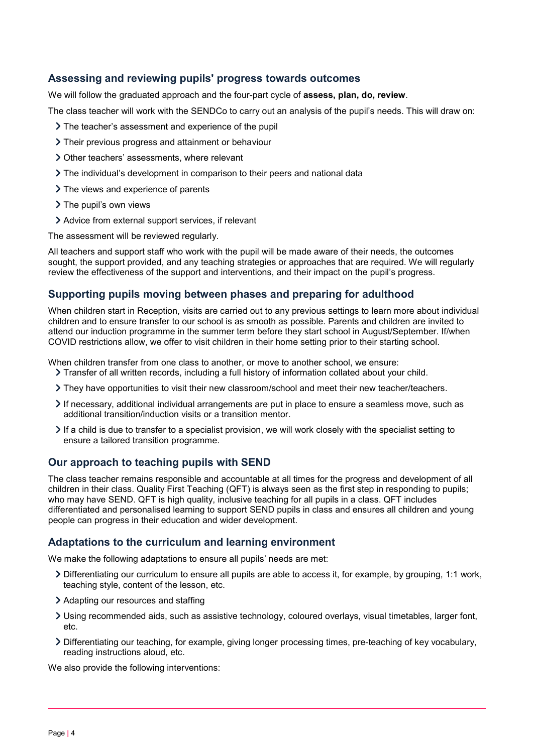## Assessing and reviewing pupils' progress towards outcomes

We will follow the graduated approach and the four-part cycle of **assess, plan, do, review**.

The class teacher will work with the SENDCo to carry out an analysis of the pupil's needs. This will draw on:

- The teacher's assessment and experience of the pupil
- Their previous progress and attainment or behaviour
- Other teachers' assessments, where relevant
- $\geq$  The individual's development in comparison to their peers and national data
- > The views and experience of parents
- > The pupil's own views
- Advice from external support services, if relevant

The assessment will be reviewed regularly.

All teachers and support staff who work with the pupil will be made aware of their needs, the outcomes sought, the support provided, and any teaching strategies or approaches that are required. We will regularly review the effectiveness of the support and interventions, and their impact on the pupil's progress.

## Supporting pupils moving between phases and preparing for adulthood

When children start in Reception, visits are carried out to any previous settings to learn more about individual children and to ensure transfer to our school is as smooth as possible. Parents and children are invited to attend our induction programme in the summer term before they start school in August/September. If/when COVID restrictions allow, we offer to visit children in their home setting prior to their starting school.

When children transfer from one class to another, or move to another school, we ensure:

- Transfer of all written records, including a full history of information collated about your child.
- They have opportunities to visit their new classroom/school and meet their new teacher/teachers.
- $\geq$  If necessary, additional individual arrangements are put in place to ensure a seamless move, such as additional transition/induction visits or a transition mentor.
- $\geq$  If a child is due to transfer to a specialist provision, we will work closely with the specialist setting to ensure a tailored transition programme.

## Our approach to teaching pupils with SEND

The class teacher remains responsible and accountable at all times for the progress and development of all children in their class. Quality First Teaching (QFT) is always seen as the first step in responding to pupils; who may have SEND. QFT is high quality, inclusive teaching for all pupils in a class. QFT includes differentiated and personalised learning to support SEND pupils in class and ensures all children and young people can progress in their education and wider development.

## Adaptations to the curriculum and learning environment

We make the following adaptations to ensure all pupils' needs are met:

- Differentiating our curriculum to ensure all pupils are able to access it, for example, by grouping, 1:1 work, teaching style, content of the lesson, etc.
- Adapting our resources and staffing
- Using recommended aids, such as assistive technology, coloured overlays, visual timetables, larger font, etc.
- Differentiating our teaching, for example, giving longer processing times, pre-teaching of key vocabulary, reading instructions aloud, etc.

We also provide the following interventions: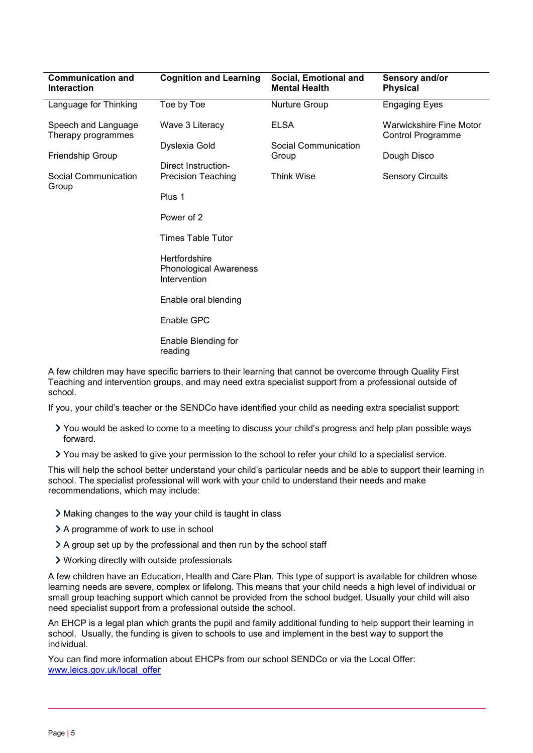| <b>Communication and</b><br><b>Interaction</b>                | <b>Cognition and Learning</b>                                  | Social, Emotional and<br><b>Mental Health</b> | Sensory and/or<br><b>Physical</b>                          |
|---------------------------------------------------------------|----------------------------------------------------------------|-----------------------------------------------|------------------------------------------------------------|
| Language for Thinking                                         | Toe by Toe                                                     | Nurture Group                                 | <b>Engaging Eyes</b>                                       |
| Speech and Language<br>Therapy programmes<br>Friendship Group | Wave 3 Literacy                                                | <b>ELSA</b>                                   | <b>Warwickshire Fine Motor</b><br><b>Control Programme</b> |
|                                                               | Dyslexia Gold                                                  | Social Communication<br>Group                 | Dough Disco                                                |
|                                                               | Direct Instruction-                                            |                                               |                                                            |
| Social Communication<br>Group                                 | <b>Precision Teaching</b>                                      | <b>Think Wise</b>                             | <b>Sensory Circuits</b>                                    |
|                                                               | Plus 1                                                         |                                               |                                                            |
|                                                               | Power of 2                                                     |                                               |                                                            |
|                                                               | <b>Times Table Tutor</b>                                       |                                               |                                                            |
|                                                               | Hertfordshire<br><b>Phonological Awareness</b><br>Intervention |                                               |                                                            |
|                                                               | Enable oral blending                                           |                                               |                                                            |
|                                                               | Enable GPC                                                     |                                               |                                                            |
|                                                               | Enable Blending for<br>reading                                 |                                               |                                                            |
|                                                               |                                                                |                                               |                                                            |

A few children may have specific barriers to their learning that cannot be overcome through Quality First Teaching and intervention groups, and may need extra specialist support from a professional outside of school.

If you, your child's teacher or the SENDCo have identified your child as needing extra specialist support:

- You would be asked to come to a meeting to discuss your child's progress and help plan possible ways forward.
- You may be asked to give your permission to the school to refer your child to a specialist service.

This will help the school better understand your child's particular needs and be able to support their learning in school. The specialist professional will work with your child to understand their needs and make recommendations, which may include:

- Making changes to the way your child is taught in class
- A programme of work to use in school
- $\geq$  A group set up by the professional and then run by the school staff
- Working directly with outside professionals

A few children have an Education, Health and Care Plan. This type of support is available for children whose learning needs are severe, complex or lifelong. This means that your child needs a high level of individual or small group teaching support which cannot be provided from the school budget. Usually your child will also need specialist support from a professional outside the school.

An EHCP is a legal plan which grants the pupil and family additional funding to help support their learning in school. Usually, the funding is given to schools to use and implement in the best way to support the individual.

You can find more information about EHCPs from our school SENDCo or via the Local Offer: www.leics.gov.uk/local\_offer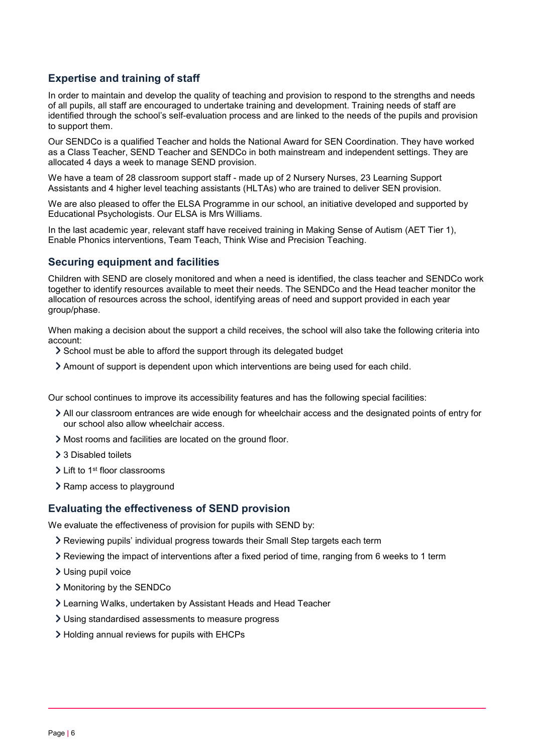## Expertise and training of staff

In order to maintain and develop the quality of teaching and provision to respond to the strengths and needs of all pupils, all staff are encouraged to undertake training and development. Training needs of staff are identified through the school's self-evaluation process and are linked to the needs of the pupils and provision to support them.

Our SENDCo is a qualified Teacher and holds the National Award for SEN Coordination. They have worked as a Class Teacher, SEND Teacher and SENDCo in both mainstream and independent settings. They are allocated 4 days a week to manage SEND provision.

We have a team of 28 classroom support staff - made up of 2 Nursery Nurses, 23 Learning Support Assistants and 4 higher level teaching assistants (HLTAs) who are trained to deliver SEN provision.

We are also pleased to offer the ELSA Programme in our school, an initiative developed and supported by Educational Psychologists. Our ELSA is Mrs Williams.

In the last academic year, relevant staff have received training in Making Sense of Autism (AET Tier 1), Enable Phonics interventions, Team Teach, Think Wise and Precision Teaching.

## Securing equipment and facilities

Children with SEND are closely monitored and when a need is identified, the class teacher and SENDCo work together to identify resources available to meet their needs. The SENDCo and the Head teacher monitor the allocation of resources across the school, identifying areas of need and support provided in each year group/phase.

When making a decision about the support a child receives, the school will also take the following criteria into account:

- School must be able to afford the support through its delegated budget
- Amount of support is dependent upon which interventions are being used for each child.

Our school continues to improve its accessibility features and has the following special facilities:

- All our classroom entrances are wide enough for wheelchair access and the designated points of entry for our school also allow wheelchair access.
- Most rooms and facilities are located on the ground floor.
- > 3 Disabled toilets
- > Lift to 1<sup>st</sup> floor classrooms
- > Ramp access to playground

## Evaluating the effectiveness of SEND provision

We evaluate the effectiveness of provision for pupils with SEND by:

- Reviewing pupils' individual progress towards their Small Step targets each term
- $\geq$  Reviewing the impact of interventions after a fixed period of time, ranging from 6 weeks to 1 term
- Using pupil voice
- > Monitoring by the SENDCo
- Learning Walks, undertaken by Assistant Heads and Head Teacher
- Using standardised assessments to measure progress
- Holding annual reviews for pupils with EHCPs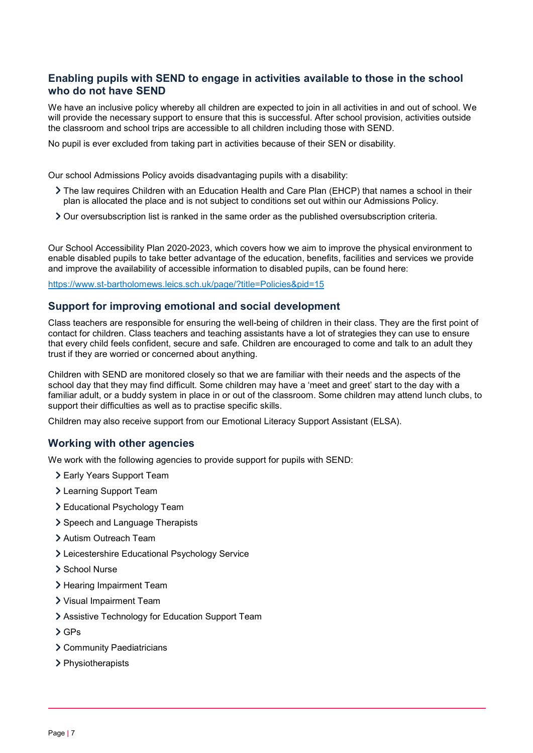## Enabling pupils with SEND to engage in activities available to those in the school who do not have SEND

We have an inclusive policy whereby all children are expected to join in all activities in and out of school. We will provide the necessary support to ensure that this is successful. After school provision, activities outside the classroom and school trips are accessible to all children including those with SEND.

No pupil is ever excluded from taking part in activities because of their SEN or disability.

Our school Admissions Policy avoids disadvantaging pupils with a disability:

- The law requires Children with an Education Health and Care Plan (EHCP) that names a school in their plan is allocated the place and is not subject to conditions set out within our Admissions Policy.
- $\geq$  Our oversubscription list is ranked in the same order as the published oversubscription criteria.

Our School Accessibility Plan 2020-2023, which covers how we aim to improve the physical environment to enable disabled pupils to take better advantage of the education, benefits, facilities and services we provide and improve the availability of accessible information to disabled pupils, can be found here:

https://www.st-bartholomews.leics.sch.uk/page/?title=Policies&pid=15

#### Support for improving emotional and social development

Class teachers are responsible for ensuring the well-being of children in their class. They are the first point of contact for children. Class teachers and teaching assistants have a lot of strategies they can use to ensure that every child feels confident, secure and safe. Children are encouraged to come and talk to an adult they trust if they are worried or concerned about anything.

Children with SEND are monitored closely so that we are familiar with their needs and the aspects of the school day that they may find difficult. Some children may have a 'meet and greet' start to the day with a familiar adult, or a buddy system in place in or out of the classroom. Some children may attend lunch clubs, to support their difficulties as well as to practise specific skills.

Children may also receive support from our Emotional Literacy Support Assistant (ELSA).

#### Working with other agencies

We work with the following agencies to provide support for pupils with SEND:

- Early Years Support Team
- Learning Support Team
- Educational Psychology Team
- > Speech and Language Therapists
- Autism Outreach Team
- Leicestershire Educational Psychology Service
- > School Nurse
- > Hearing Impairment Team
- Visual Impairment Team
- Assistive Technology for Education Support Team
- GPs
- Community Paediatricians
- > Physiotherapists